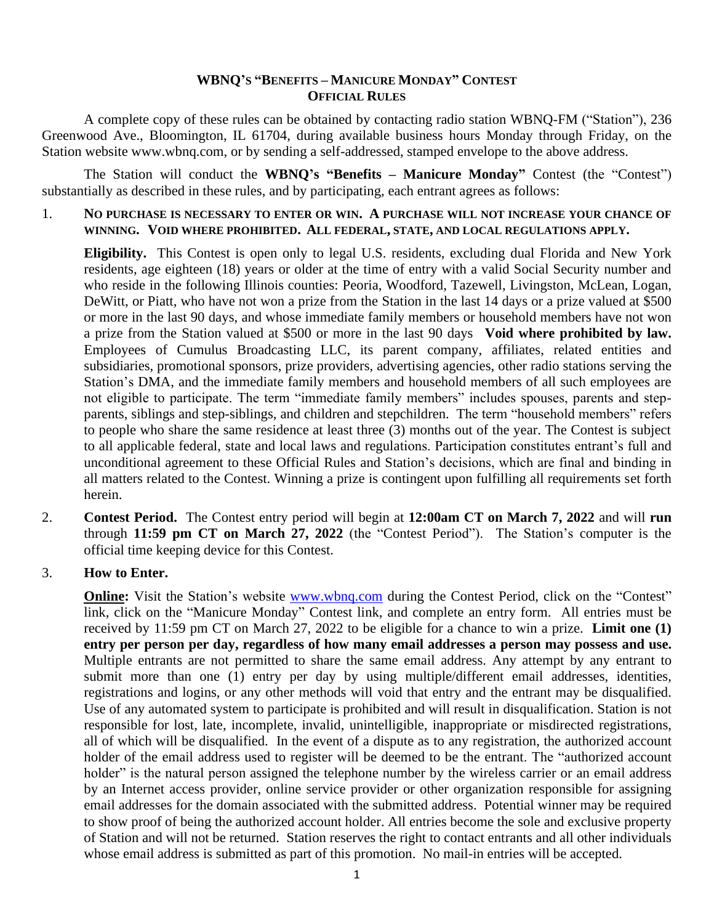#### **WBNQ'S "BENEFITS – MANICURE MONDAY" CONTEST OFFICIAL RULES**

A complete copy of these rules can be obtained by contacting radio station WBNQ-FM ("Station"), 236 Greenwood Ave., Bloomington, IL 61704, during available business hours Monday through Friday, on the Station website www.wbnq.com, or by sending a self-addressed, stamped envelope to the above address.

The Station will conduct the **WBNQ's "Benefits – Manicure Monday"** Contest (the "Contest") substantially as described in these rules, and by participating, each entrant agrees as follows:

1. **NO PURCHASE IS NECESSARY TO ENTER OR WIN. A PURCHASE WILL NOT INCREASE YOUR CHANCE OF WINNING. VOID WHERE PROHIBITED. ALL FEDERAL, STATE, AND LOCAL REGULATIONS APPLY.**

**Eligibility.** This Contest is open only to legal U.S. residents, excluding dual Florida and New York residents, age eighteen (18) years or older at the time of entry with a valid Social Security number and who reside in the following Illinois counties: Peoria, Woodford, Tazewell, Livingston, McLean, Logan, DeWitt, or Piatt, who have not won a prize from the Station in the last 14 days or a prize valued at \$500 or more in the last 90 days, and whose immediate family members or household members have not won a prize from the Station valued at \$500 or more in the last 90 days **Void where prohibited by law.** Employees of Cumulus Broadcasting LLC, its parent company, affiliates, related entities and subsidiaries, promotional sponsors, prize providers, advertising agencies, other radio stations serving the Station's DMA, and the immediate family members and household members of all such employees are not eligible to participate. The term "immediate family members" includes spouses, parents and stepparents, siblings and step-siblings, and children and stepchildren. The term "household members" refers to people who share the same residence at least three (3) months out of the year. The Contest is subject to all applicable federal, state and local laws and regulations. Participation constitutes entrant's full and unconditional agreement to these Official Rules and Station's decisions, which are final and binding in all matters related to the Contest. Winning a prize is contingent upon fulfilling all requirements set forth herein.

2. **Contest Period.** The Contest entry period will begin at **12:00am CT on March 7, 2022** and will **run** through **11:59 pm CT on March 27, 2022** (the "Contest Period"). The Station's computer is the official time keeping device for this Contest.

#### 3. **How to Enter.**

**Online:** Visit the Station's website [www.wbnq.com](http://www.wbnq.com/) during the Contest Period, click on the "Contest" link, click on the "Manicure Monday" Contest link, and complete an entry form. All entries must be received by 11:59 pm CT on March 27, 2022 to be eligible for a chance to win a prize. **Limit one (1) entry per person per day, regardless of how many email addresses a person may possess and use.** Multiple entrants are not permitted to share the same email address. Any attempt by any entrant to submit more than one (1) entry per day by using multiple/different email addresses, identities, registrations and logins, or any other methods will void that entry and the entrant may be disqualified. Use of any automated system to participate is prohibited and will result in disqualification. Station is not responsible for lost, late, incomplete, invalid, unintelligible, inappropriate or misdirected registrations, all of which will be disqualified. In the event of a dispute as to any registration, the authorized account holder of the email address used to register will be deemed to be the entrant. The "authorized account holder" is the natural person assigned the telephone number by the wireless carrier or an email address by an Internet access provider, online service provider or other organization responsible for assigning email addresses for the domain associated with the submitted address. Potential winner may be required to show proof of being the authorized account holder. All entries become the sole and exclusive property of Station and will not be returned. Station reserves the right to contact entrants and all other individuals whose email address is submitted as part of this promotion. No mail-in entries will be accepted.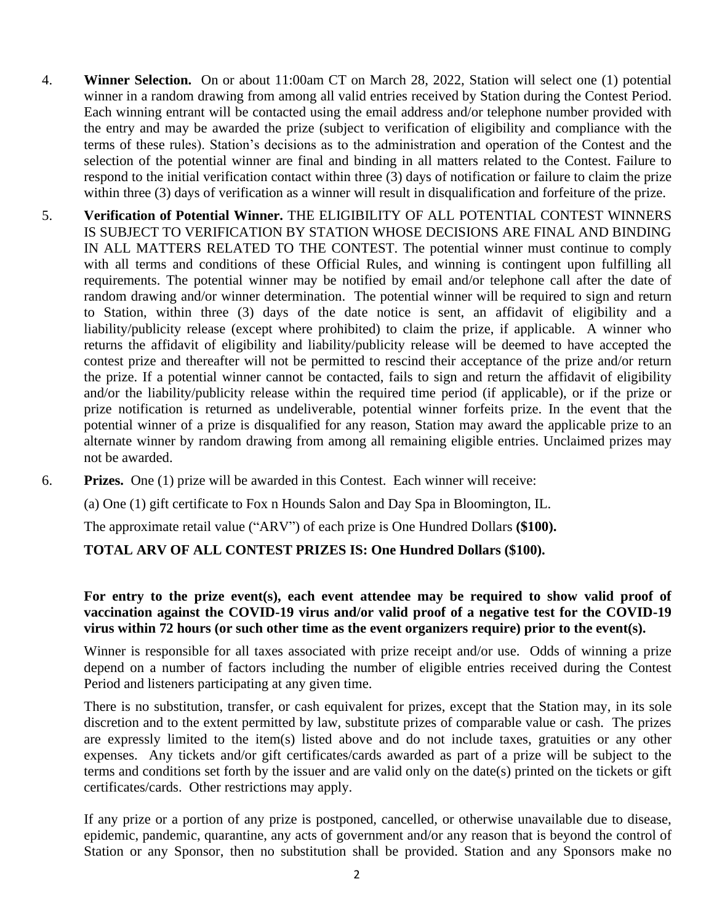- 4. **Winner Selection.** On or about 11:00am CT on March 28, 2022, Station will select one (1) potential winner in a random drawing from among all valid entries received by Station during the Contest Period. Each winning entrant will be contacted using the email address and/or telephone number provided with the entry and may be awarded the prize (subject to verification of eligibility and compliance with the terms of these rules). Station's decisions as to the administration and operation of the Contest and the selection of the potential winner are final and binding in all matters related to the Contest. Failure to respond to the initial verification contact within three (3) days of notification or failure to claim the prize within three (3) days of verification as a winner will result in disqualification and forfeiture of the prize.
- 5. **Verification of Potential Winner.** THE ELIGIBILITY OF ALL POTENTIAL CONTEST WINNERS IS SUBJECT TO VERIFICATION BY STATION WHOSE DECISIONS ARE FINAL AND BINDING IN ALL MATTERS RELATED TO THE CONTEST. The potential winner must continue to comply with all terms and conditions of these Official Rules, and winning is contingent upon fulfilling all requirements. The potential winner may be notified by email and/or telephone call after the date of random drawing and/or winner determination. The potential winner will be required to sign and return to Station, within three (3) days of the date notice is sent, an affidavit of eligibility and a liability/publicity release (except where prohibited) to claim the prize, if applicable. A winner who returns the affidavit of eligibility and liability/publicity release will be deemed to have accepted the contest prize and thereafter will not be permitted to rescind their acceptance of the prize and/or return the prize. If a potential winner cannot be contacted, fails to sign and return the affidavit of eligibility and/or the liability/publicity release within the required time period (if applicable), or if the prize or prize notification is returned as undeliverable, potential winner forfeits prize. In the event that the potential winner of a prize is disqualified for any reason, Station may award the applicable prize to an alternate winner by random drawing from among all remaining eligible entries. Unclaimed prizes may not be awarded.
- 6. **Prizes.** One (1) prize will be awarded in this Contest. Each winner will receive:

(a) One (1) gift certificate to Fox n Hounds Salon and Day Spa in Bloomington, IL.

The approximate retail value ("ARV") of each prize is One Hundred Dollars **(\$100).** 

# **TOTAL ARV OF ALL CONTEST PRIZES IS: One Hundred Dollars (\$100).**

# **For entry to the prize event(s), each event attendee may be required to show valid proof of vaccination against the COVID-19 virus and/or valid proof of a negative test for the COVID-19 virus within 72 hours (or such other time as the event organizers require) prior to the event(s).**

Winner is responsible for all taxes associated with prize receipt and/or use. Odds of winning a prize depend on a number of factors including the number of eligible entries received during the Contest Period and listeners participating at any given time.

There is no substitution, transfer, or cash equivalent for prizes, except that the Station may, in its sole discretion and to the extent permitted by law, substitute prizes of comparable value or cash. The prizes are expressly limited to the item(s) listed above and do not include taxes, gratuities or any other expenses. Any tickets and/or gift certificates/cards awarded as part of a prize will be subject to the terms and conditions set forth by the issuer and are valid only on the date(s) printed on the tickets or gift certificates/cards. Other restrictions may apply.

If any prize or a portion of any prize is postponed, cancelled, or otherwise unavailable due to disease, epidemic, pandemic, quarantine, any acts of government and/or any reason that is beyond the control of Station or any Sponsor, then no substitution shall be provided. Station and any Sponsors make no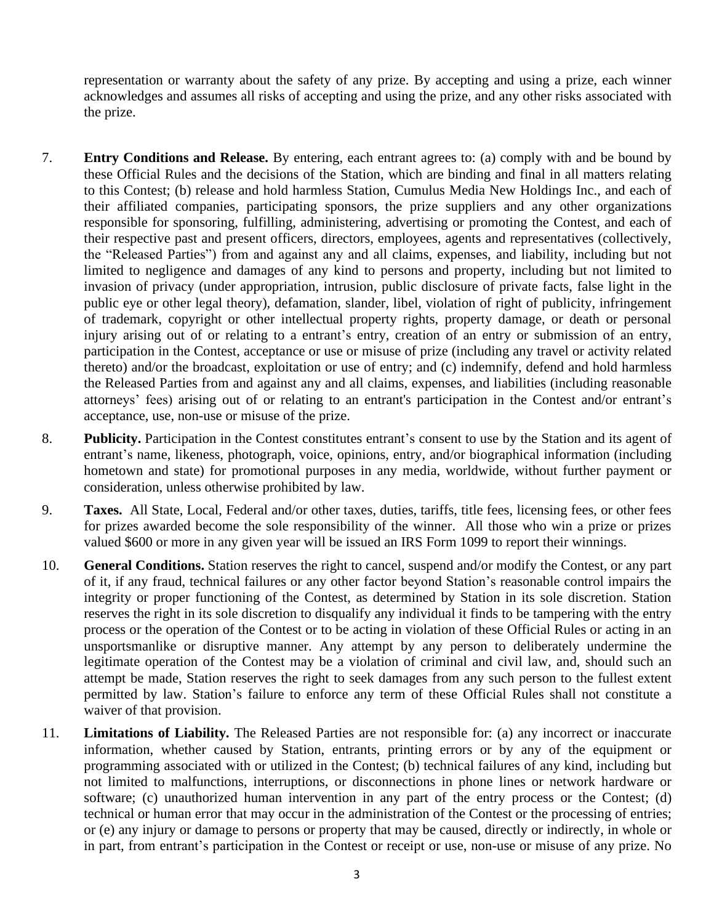representation or warranty about the safety of any prize. By accepting and using a prize, each winner acknowledges and assumes all risks of accepting and using the prize, and any other risks associated with the prize.

- 7. **Entry Conditions and Release.** By entering, each entrant agrees to: (a) comply with and be bound by these Official Rules and the decisions of the Station, which are binding and final in all matters relating to this Contest; (b) release and hold harmless Station, Cumulus Media New Holdings Inc., and each of their affiliated companies, participating sponsors, the prize suppliers and any other organizations responsible for sponsoring, fulfilling, administering, advertising or promoting the Contest, and each of their respective past and present officers, directors, employees, agents and representatives (collectively, the "Released Parties") from and against any and all claims, expenses, and liability, including but not limited to negligence and damages of any kind to persons and property, including but not limited to invasion of privacy (under appropriation, intrusion, public disclosure of private facts, false light in the public eye or other legal theory), defamation, slander, libel, violation of right of publicity, infringement of trademark, copyright or other intellectual property rights, property damage, or death or personal injury arising out of or relating to a entrant's entry, creation of an entry or submission of an entry, participation in the Contest, acceptance or use or misuse of prize (including any travel or activity related thereto) and/or the broadcast, exploitation or use of entry; and (c) indemnify, defend and hold harmless the Released Parties from and against any and all claims, expenses, and liabilities (including reasonable attorneys' fees) arising out of or relating to an entrant's participation in the Contest and/or entrant's acceptance, use, non-use or misuse of the prize.
- 8. **Publicity.** Participation in the Contest constitutes entrant's consent to use by the Station and its agent of entrant's name, likeness, photograph, voice, opinions, entry, and/or biographical information (including hometown and state) for promotional purposes in any media, worldwide, without further payment or consideration, unless otherwise prohibited by law.
- 9. **Taxes.** All State, Local, Federal and/or other taxes, duties, tariffs, title fees, licensing fees, or other fees for prizes awarded become the sole responsibility of the winner. All those who win a prize or prizes valued \$600 or more in any given year will be issued an IRS Form 1099 to report their winnings.
- 10. **General Conditions.** Station reserves the right to cancel, suspend and/or modify the Contest, or any part of it, if any fraud, technical failures or any other factor beyond Station's reasonable control impairs the integrity or proper functioning of the Contest, as determined by Station in its sole discretion. Station reserves the right in its sole discretion to disqualify any individual it finds to be tampering with the entry process or the operation of the Contest or to be acting in violation of these Official Rules or acting in an unsportsmanlike or disruptive manner. Any attempt by any person to deliberately undermine the legitimate operation of the Contest may be a violation of criminal and civil law, and, should such an attempt be made, Station reserves the right to seek damages from any such person to the fullest extent permitted by law. Station's failure to enforce any term of these Official Rules shall not constitute a waiver of that provision.
- 11. **Limitations of Liability.** The Released Parties are not responsible for: (a) any incorrect or inaccurate information, whether caused by Station, entrants, printing errors or by any of the equipment or programming associated with or utilized in the Contest; (b) technical failures of any kind, including but not limited to malfunctions, interruptions, or disconnections in phone lines or network hardware or software; (c) unauthorized human intervention in any part of the entry process or the Contest; (d) technical or human error that may occur in the administration of the Contest or the processing of entries; or (e) any injury or damage to persons or property that may be caused, directly or indirectly, in whole or in part, from entrant's participation in the Contest or receipt or use, non-use or misuse of any prize. No